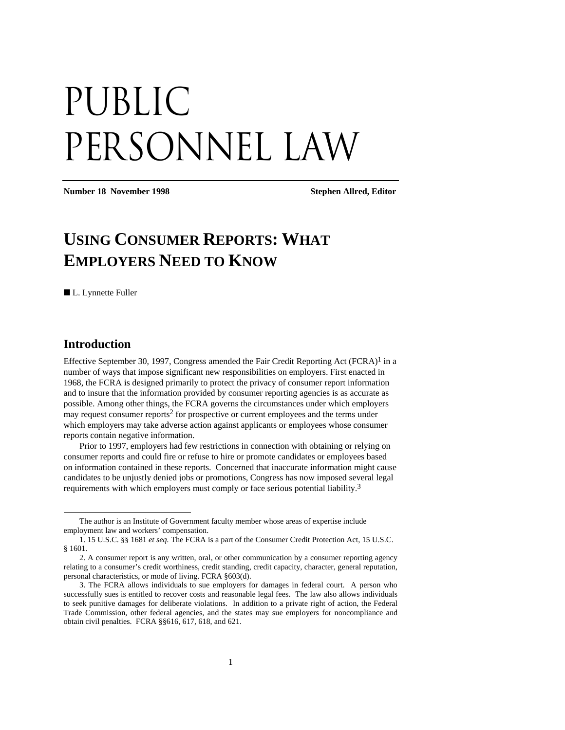# Public PERSONNEL LAW

**Number 18 November 1998 Stephen Allred, Editor** 

## **USING CONSUMER REPORTS: WHAT EMPLOYERS NEED TO KNOW**

■ L. Lynnette Fuller

### **Introduction**

-

Effective September 30, 1997, Congress amended the Fair Credit Reporting Act  $(FCRA)^{1}$  in a number of ways that impose significant new responsibilities on employers. First enacted in 1968, the FCRA is designed primarily to protect the privacy of consumer report information and to insure that the information provided by consumer reporting agencies is as accurate as possible. Among other things, the FCRA governs the circumstances under which employers may request consumer reports2 for prospective or current employees and the terms under which employers may take adverse action against applicants or employees whose consumer reports contain negative information.

Prior to 1997, employers had few restrictions in connection with obtaining or relying on consumer reports and could fire or refuse to hire or promote candidates or employees based on information contained in these reports. Concerned that inaccurate information might cause candidates to be unjustly denied jobs or promotions, Congress has now imposed several legal requirements with which employers must comply or face serious potential liability.3

The author is an Institute of Government faculty member whose areas of expertise include employment law and workers' compensation.

<sup>1. 15</sup> U.S.C. §§ 1681 *et seq.* The FCRA is a part of the Consumer Credit Protection Act, 15 U.S.C. § 1601.

<sup>2.</sup> A consumer report is any written, oral, or other communication by a consumer reporting agency relating to a consumer's credit worthiness, credit standing, credit capacity, character, general reputation, personal characteristics, or mode of living. FCRA §603(d).

<sup>3.</sup> The FCRA allows individuals to sue employers for damages in federal court. A person who successfully sues is entitled to recover costs and reasonable legal fees. The law also allows individuals to seek punitive damages for deliberate violations. In addition to a private right of action, the Federal Trade Commission, other federal agencies, and the states may sue employers for noncompliance and obtain civil penalties. FCRA §§616, 617, 618, and 621.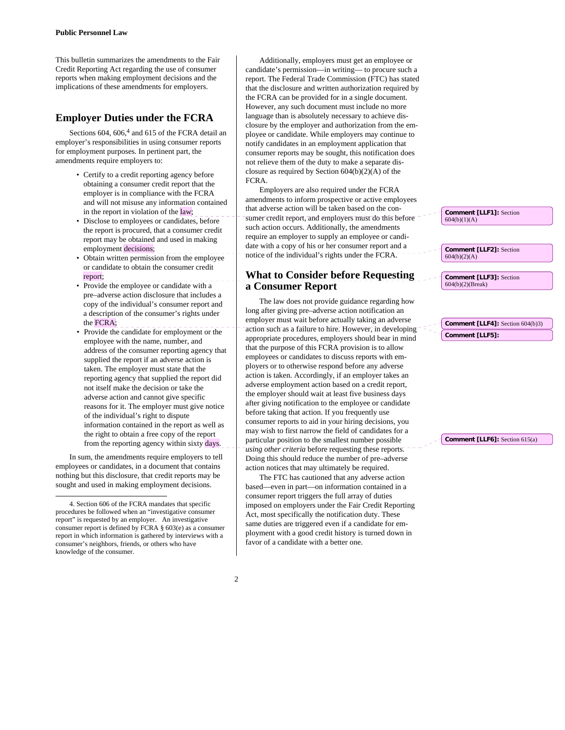This bulletin summarizes the amendments to the Fair Credit Reporting Act regarding the use of consumer reports when making employment decisions and the implications of these amendments for employers.

#### **Employer Duties under the FCRA**

Sections 604, 606,<sup>4</sup> and 615 of the FCRA detail an employer's responsibilities in using consumer reports for employment purposes. In pertinent part, the amendments require employers to:

- Certify to a credit reporting agency before obtaining a consumer credit report that the employer is in compliance with the FCRA and will not misuse any information contained in the report in violation of the  $\vert \text{law} \vert$ ;
- Disclose to employees or candidates, before the report is procured, that a consumer credit report may be obtained and used in making employment decisions;
- Obtain written permission from the employee or candidate to obtain the consumer credit report;
- Provide the employee or candidate with a pre–adverse action disclosure that includes a copy of the individual's consumer report and a description of the consumer's rights under the  $FCRA$ ; \_\_\_
- Provide the candidate for employment or the employee with the name, number, and address of the consumer reporting agency that supplied the report if an adverse action is taken. The employer must state that the reporting agency that supplied the report did not itself make the decision or take the adverse action and cannot give specific reasons for it. The employer must give notice of the individual's right to dispute information contained in the report as well as the right to obtain a free copy of the report from the reporting agency within sixty days.

In sum, the amendments require employers to tell employees or candidates, in a document that contains nothing but this disclosure, that credit reports may be sought and used in making employment decisions.

1

Additionally, employers must get an employee or candidate's permission—in writing— to procure such a report. The Federal Trade Commission (FTC) has stated that the disclosure and written authorization required by the FCRA can be provided for in a single document. However, any such document must include no more language than is absolutely necessary to achieve disclosure by the employer and authorization from the employee or candidate. While employers may continue to notify candidates in an employment application that consumer reports may be sought, this notification does not relieve them of the duty to make a separate disclosure as required by Section 604(b)(2)(A) of the FCRA.

Employers are also required under the FCRA amendments to inform prospective or active employees that adverse action will be taken based on the consumer credit report, and employers must do this before such action occurs. Additionally, the amendments require an employer to supply an employee or candidate with a copy of his or her consumer report and a notice of the individual's rights under the FCRA.

#### **What to Consider before Requesting a Consumer Report**

The law does not provide guidance regarding how long after giving pre–adverse action notification an employer must wait before actually taking an adverse action such as a failure to hire. However, in developing appropriate procedures, employers should bear in mind that the purpose of this FCRA provision is to allow employees or candidates to discuss reports with employers or to otherwise respond before any adverse action is taken. Accordingly, if an employer takes an adverse employment action based on a credit report, the employer should wait at least five business days after giving notification to the employee or candidate before taking that action. If you frequently use consumer reports to aid in your hiring decisions, you may wish to first narrow the field of candidates for a particular position to the smallest number possible *using other criteria* before requesting these reports. Doing this should reduce the number of pre–adverse action notices that may ultimately be required.

The FTC has cautioned that any adverse action based—even in part—on information contained in a consumer report triggers the full array of duties imposed on employers under the Fair Credit Reporting Act, most specifically the notification duty. These same duties are triggered even if a candidate for employment with a good credit history is turned down in favor of a candidate with a better one.

**Comment [LLF1]:** Section 604(b)(1)(A)

**Comment [LLF2]:** Section  $604(b)(2)(A)$ 

**Comment [LLF3]:** Section 604(b)(2)(Break)

**Comment [LLF4]:** Section 604(b)3) **Comment [LLF5]:** 

**Comment [LLF6]:** Section 615(a)

<sup>4.</sup> Section 606 of the FCRA mandates that specific procedures be followed when an "investigative consumer report" is requested by an employer. An investigative consumer report is defined by FCRA § 603(e) as a consumer report in which information is gathered by interviews with a consumer's neighbors, friends, or others who have knowledge of the consumer.

<sup>2</sup>